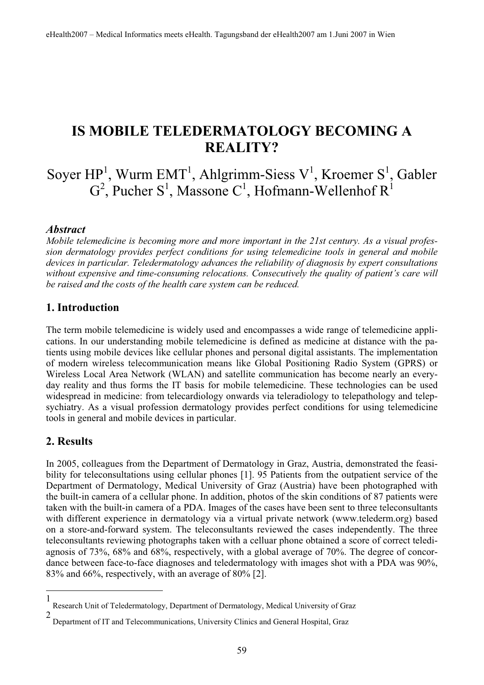## **IS MOBILE TELEDERMATOLOGY BECOMING A REALITY?**

# Soyer  $HP<sup>1</sup>$ , Wurm EMT<sup>1</sup>, Ahlgrimm-Siess V<sup>1</sup>, Kroemer S<sup>1</sup>, Gabler  $G^2$ , Pucher S<sup>1</sup>, Massone C<sup>1</sup>, Hofmann-Wellenhof R<sup>1</sup>

#### *Abstract*

*Mobile telemedicine is becoming more and more important in the 21st century. As a visual profession dermatology provides perfect conditions for using telemedicine tools in general and mobile devices in particular. Teledermatology advances the reliability of diagnosis by expert consultations without expensive and time-consuming relocations. Consecutively the quality of patient's care will be raised and the costs of the health care system can be reduced.* 

#### **1. Introduction**

The term mobile telemedicine is widely used and encompasses a wide range of telemedicine applications. In our understanding mobile telemedicine is defined as medicine at distance with the patients using mobile devices like cellular phones and personal digital assistants. The implementation of modern wireless telecommunication means like Global Positioning Radio System (GPRS) or Wireless Local Area Network (WLAN) and satellite communication has become nearly an everyday reality and thus forms the IT basis for mobile telemedicine. These technologies can be used widespread in medicine: from telecardiology onwards via teleradiology to telepathology and telepsychiatry. As a visual profession dermatology provides perfect conditions for using telemedicine tools in general and mobile devices in particular.

#### **2. Results**

In 2005, colleagues from the Department of Dermatology in Graz, Austria, demonstrated the feasibility for teleconsultations using cellular phones [1]. 95 Patients from the outpatient service of the Department of Dermatology, Medical University of Graz (Austria) have been photographed with the built-in camera of a cellular phone. In addition, photos of the skin conditions of 87 patients were taken with the built-in camera of a PDA. Images of the cases have been sent to three teleconsultants with different experience in dermatology via a virtual private network (www.telederm.org) based on a store-and-forward system. The teleconsultants reviewed the cases independently. The three teleconsultants reviewing photographs taken with a celluar phone obtained a score of correct telediagnosis of 73%, 68% and 68%, respectively, with a global average of 70%. The degree of concordance between face-to-face diagnoses and teledermatology with images shot with a PDA was 90%, 83% and 66%, respectively, with an average of 80% [2].

<sup>1</sup> Research Unit of Teledermatology, Department of Dermatology, Medical University of Graz

<sup>2</sup> Department of IT and Telecommunications, University Clinics and General Hospital, Graz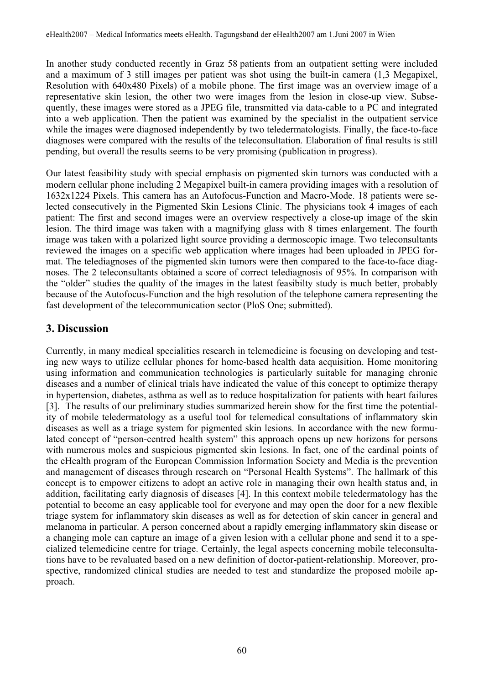In another study conducted recently in Graz 58 patients from an outpatient setting were included and a maximum of 3 still images per patient was shot using the built-in camera (1,3 Megapixel, Resolution with 640x480 Pixels) of a mobile phone. The first image was an overview image of a representative skin lesion, the other two were images from the lesion in close-up view. Subsequently, these images were stored as a JPEG file, transmitted via data-cable to a PC and integrated into a web application. Then the patient was examined by the specialist in the outpatient service while the images were diagnosed independently by two teledermatologists. Finally, the face-to-face diagnoses were compared with the results of the teleconsultation. Elaboration of final results is still pending, but overall the results seems to be very promising (publication in progress).

Our latest feasibility study with special emphasis on pigmented skin tumors was conducted with a modern cellular phone including 2 Megapixel built-in camera providing images with a resolution of 1632x1224 Pixels. This camera has an Autofocus-Function and Macro-Mode. 18 patients were selected consecutively in the Pigmented Skin Lesions Clinic. The physicians took 4 images of each patient: The first and second images were an overview respectively a close-up image of the skin lesion. The third image was taken with a magnifying glass with 8 times enlargement. The fourth image was taken with a polarized light source providing a dermoscopic image. Two teleconsultants reviewed the images on a specific web application where images had been uploaded in JPEG format. The telediagnoses of the pigmented skin tumors were then compared to the face-to-face diagnoses. The 2 teleconsultants obtained a score of correct telediagnosis of 95%. In comparison with the "older" studies the quality of the images in the latest feasibilty study is much better, probably because of the Autofocus-Function and the high resolution of the telephone camera representing the fast development of the telecommunication sector (PloS One; submitted).

### **3. Discussion**

Currently, in many medical specialities research in telemedicine is focusing on developing and testing new ways to utilize cellular phones for home-based health data acquisition. Home monitoring using information and communication technologies is particularly suitable for managing chronic diseases and a number of clinical trials have indicated the value of this concept to optimize therapy in hypertension, diabetes, asthma as well as to reduce hospitalization for patients with heart failures [3]. The results of our preliminary studies summarized herein show for the first time the potentiality of mobile teledermatology as a useful tool for telemedical consultations of inflammatory skin diseases as well as a triage system for pigmented skin lesions. In accordance with the new formulated concept of "person-centred health system" this approach opens up new horizons for persons with numerous moles and suspicious pigmented skin lesions. In fact, one of the cardinal points of the eHealth program of the European Commission Information Society and Media is the prevention and management of diseases through research on "Personal Health Systems". The hallmark of this concept is to empower citizens to adopt an active role in managing their own health status and, in addition, facilitating early diagnosis of diseases [4]. In this context mobile teledermatology has the potential to become an easy applicable tool for everyone and may open the door for a new flexible triage system for inflammatory skin diseases as well as for detection of skin cancer in general and melanoma in particular. A person concerned about a rapidly emerging inflammatory skin disease or a changing mole can capture an image of a given lesion with a cellular phone and send it to a specialized telemedicine centre for triage. Certainly, the legal aspects concerning mobile teleconsultations have to be revaluated based on a new definition of doctor-patient-relationship. Moreover, prospective, randomized clinical studies are needed to test and standardize the proposed mobile approach.